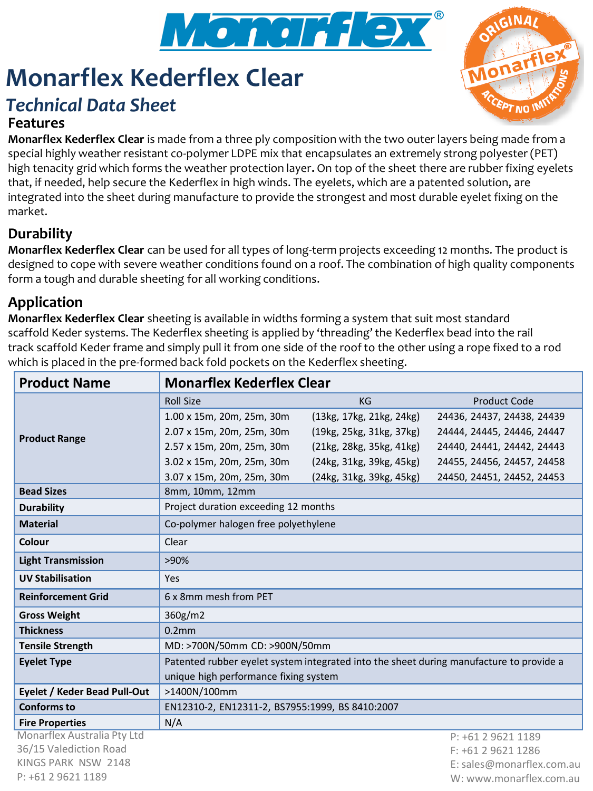

# **Monarflex Kederflex Clear**

# *Technical Data Sheet*

## **Features**



**Monarflex Kederflex Clear** is made from a three ply composition with the two outer layers being made from a special highly weather resistant co-polymer LDPE mix that encapsulates an extremely strong polyester (PET) high tenacity grid which forms the weather protection layer**.** On top of the sheet there are rubber fixing eyelets that, if needed, help secure the Kederflex in high winds. The eyelets, which are a patented solution, are integrated into the sheet during manufacture to provide the strongest and most durable eyelet fixing on the market.

## **Durability**

**Monarflex Kederflex Clear** can be used for all types of long-term projects exceeding 12 months. The product is designed to cope with severe weather conditions found on a roof. The combination of high quality components form a tough and durable sheeting for all working conditions.

# **Application**

**Monarflex Kederflex Clear** sheeting is available in widths forming a system that suit most standard scaffold Keder systems. The Kederflex sheeting is applied by 'threading' the Kederflex bead into the rail track scaffold Keder frame and simply pull it from one side of the roof to the other using a rope fixed to a rod which is placed in the pre-formed back fold pockets on the Kederflex sheeting.

| <b>Product Name</b>          | <b>Monarflex Kederflex Clear</b>                                                        |                          |                            |
|------------------------------|-----------------------------------------------------------------------------------------|--------------------------|----------------------------|
| <b>Product Range</b>         | <b>Roll Size</b>                                                                        | KG                       | <b>Product Code</b>        |
|                              | 1.00 x 15m, 20m, 25m, 30m                                                               | (13kg, 17kg, 21kg, 24kg) | 24436, 24437, 24438, 24439 |
|                              | 2.07 x 15m, 20m, 25m, 30m                                                               | (19kg, 25kg, 31kg, 37kg) | 24444, 24445, 24446, 24447 |
|                              | 2.57 x 15m, 20m, 25m, 30m                                                               | (21kg, 28kg, 35kg, 41kg) | 24440, 24441, 24442, 24443 |
|                              | 3.02 x 15m, 20m, 25m, 30m                                                               | (24kg, 31kg, 39kg, 45kg) | 24455, 24456, 24457, 24458 |
|                              | 3.07 x 15m, 20m, 25m, 30m                                                               | (24kg, 31kg, 39kg, 45kg) | 24450, 24451, 24452, 24453 |
| <b>Bead Sizes</b>            | 8mm, 10mm, 12mm                                                                         |                          |                            |
| <b>Durability</b>            | Project duration exceeding 12 months                                                    |                          |                            |
| <b>Material</b>              | Co-polymer halogen free polyethylene                                                    |                          |                            |
| Colour                       | Clear                                                                                   |                          |                            |
| <b>Light Transmission</b>    | >90%                                                                                    |                          |                            |
| <b>UV Stabilisation</b>      | Yes                                                                                     |                          |                            |
| <b>Reinforcement Grid</b>    | 6 x 8mm mesh from PET                                                                   |                          |                            |
| <b>Gross Weight</b>          | 360g/m2                                                                                 |                          |                            |
| <b>Thickness</b>             | 0.2 <sub>mm</sub>                                                                       |                          |                            |
| <b>Tensile Strength</b>      | MD: >700N/50mm CD: >900N/50mm                                                           |                          |                            |
| <b>Eyelet Type</b>           | Patented rubber eyelet system integrated into the sheet during manufacture to provide a |                          |                            |
|                              | unique high performance fixing system                                                   |                          |                            |
| Eyelet / Keder Bead Pull-Out | >1400N/100mm                                                                            |                          |                            |
| <b>Conforms to</b>           | EN12310-2, EN12311-2, BS7955:1999, BS 8410:2007                                         |                          |                            |
| <b>Fire Properties</b>       | N/A                                                                                     |                          |                            |
| Monarflex Australia Pty Ltd  |                                                                                         |                          | P: +61 2 9621 1189         |
| 36/15 Valediction Road       |                                                                                         |                          | F: +61 2 9621 1286         |
| KINGS PARK NSW 2148          |                                                                                         |                          | E: sales@monarflex.com.au  |
| P: +61 2 9621 1189           |                                                                                         |                          | W: www.monarflex.com.au    |